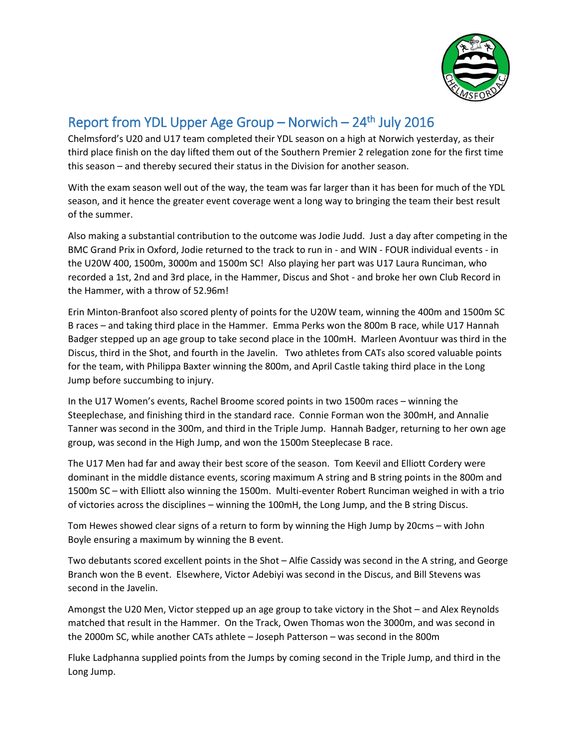

## Report from YDL Upper Age Group  $-$  Norwich  $-24$ <sup>th</sup> July 2016

Chelmsford's U20 and U17 team completed their YDL season on a high at Norwich yesterday, as their third place finish on the day lifted them out of the Southern Premier 2 relegation zone for the first time this season – and thereby secured their status in the Division for another season.

With the exam season well out of the way, the team was far larger than it has been for much of the YDL season, and it hence the greater event coverage went a long way to bringing the team their best result of the summer.

Also making a substantial contribution to the outcome was Jodie Judd. Just a day after competing in the BMC Grand Prix in Oxford, Jodie returned to the track to run in - and WIN - FOUR individual events - in the U20W 400, 1500m, 3000m and 1500m SC! Also playing her part was U17 Laura Runciman, who recorded a 1st, 2nd and 3rd place, in the Hammer, Discus and Shot - and broke her own Club Record in the Hammer, with a throw of 52.96m!

Erin Minton-Branfoot also scored plenty of points for the U20W team, winning the 400m and 1500m SC B races – and taking third place in the Hammer. Emma Perks won the 800m B race, while U17 Hannah Badger stepped up an age group to take second place in the 100mH. Marleen Avontuur was third in the Discus, third in the Shot, and fourth in the Javelin. Two athletes from CATs also scored valuable points for the team, with Philippa Baxter winning the 800m, and April Castle taking third place in the Long Jump before succumbing to injury.

In the U17 Women's events, Rachel Broome scored points in two 1500m races – winning the Steeplechase, and finishing third in the standard race. Connie Forman won the 300mH, and Annalie Tanner was second in the 300m, and third in the Triple Jump. Hannah Badger, returning to her own age group, was second in the High Jump, and won the 1500m Steeplecase B race.

The U17 Men had far and away their best score of the season. Tom Keevil and Elliott Cordery were dominant in the middle distance events, scoring maximum A string and B string points in the 800m and 1500m SC – with Elliott also winning the 1500m. Multi-eventer Robert Runciman weighed in with a trio of victories across the disciplines – winning the 100mH, the Long Jump, and the B string Discus.

Tom Hewes showed clear signs of a return to form by winning the High Jump by 20cms – with John Boyle ensuring a maximum by winning the B event.

Two debutants scored excellent points in the Shot – Alfie Cassidy was second in the A string, and George Branch won the B event. Elsewhere, Victor Adebiyi was second in the Discus, and Bill Stevens was second in the Javelin.

Amongst the U20 Men, Victor stepped up an age group to take victory in the Shot – and Alex Reynolds matched that result in the Hammer. On the Track, Owen Thomas won the 3000m, and was second in the 2000m SC, while another CATs athlete – Joseph Patterson – was second in the 800m

Fluke Ladphanna supplied points from the Jumps by coming second in the Triple Jump, and third in the Long Jump.